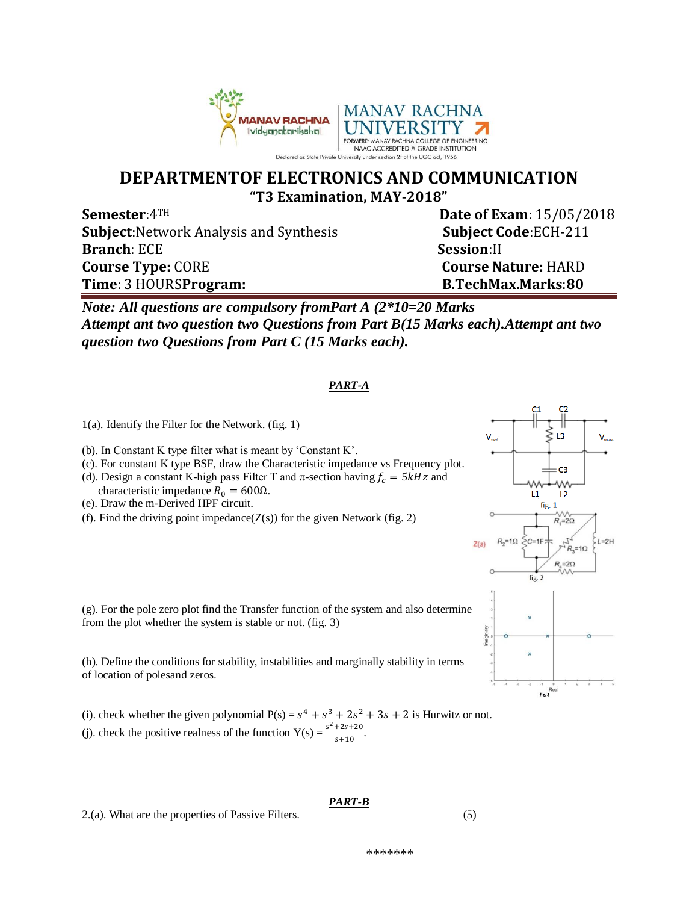

## **DEPARTMENTOF ELECTRONICS AND COMMUNICATION "T3 Examination, MAY-2018"**

**Semester**:4TH **Date of Exam**: 15/05/2018 **Subject:**Network Analysis and Synthesis **Subject Code**:ECH-211 **Branch**: ECE **Session:II Course Type:** CORE **Course Nature:** HARD **Time**: 3 HOURS**Program: B.TechMax.Marks**:**80**

*Note: All questions are compulsory fromPart A (2\*10=20 Marks Attempt ant two question two Questions from Part B(15 Marks each).Attempt ant two question two Questions from Part C (15 Marks each).*

## *PART-A*

- 1(a). Identify the Filter for the Network. (fig. 1)
- (b). In Constant K type filter what is meant by 'Constant K'.
- (c). For constant K type BSF, draw the Characteristic impedance vs Frequency plot. (d). Design a constant K-high pass Filter T and  $\pi$ -section having  $f_c = 5kHz$  and
- characteristic impedance  $R_0 = 600\Omega$ .
- (e). Draw the m-Derived HPF circuit.
- (f). Find the driving point impedance( $Z(s)$ ) for the given Network (fig. 2)



(h). Define the conditions for stability, instabilities and marginally stability in terms of location of polesand zeros.

(i). check whether the given polynomial  $P(s) = s^4 + s^3 + 2s^2 + 3s + 2$  is Hurwitz or not. (j). check the positive realness of the function  $Y(s) = \frac{s^2 + 2s + 20}{s}$  $\frac{725720}{5+10}$ .

2.(a). What are the properties of Passive Filters. (5)

## *PART-B*



\*\*\*\*\*\*\*